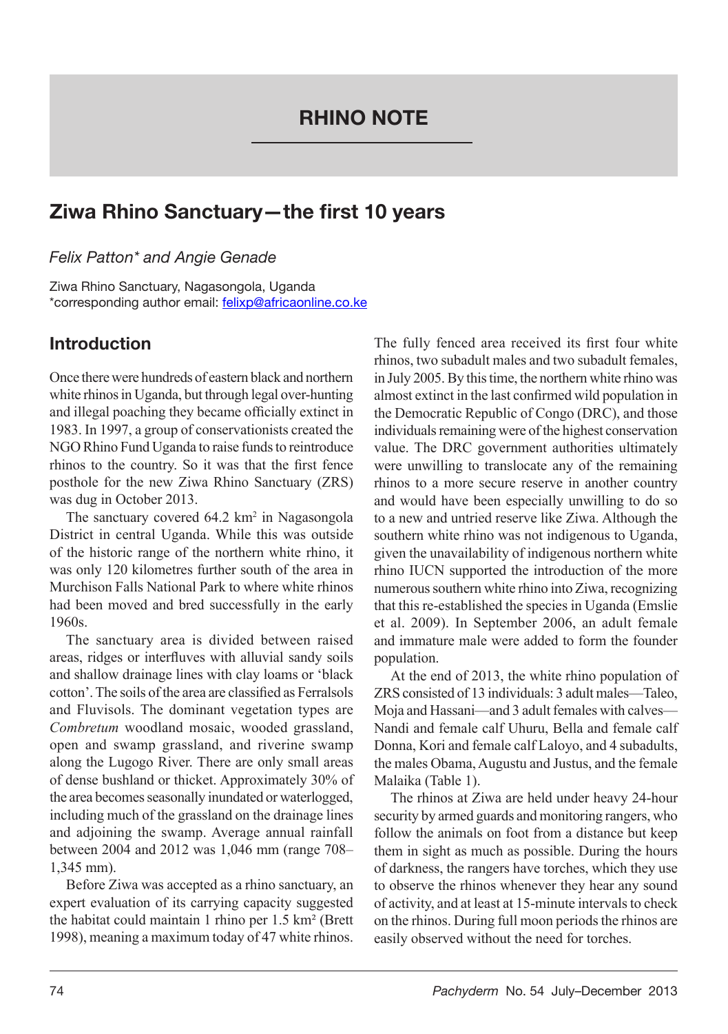# Ziwa Rhino Sanctuary—the first 10 years

*Felix Patton\* and Angie Genade*

Ziwa Rhino Sanctuary, Nagasongola, Uganda \*corresponding author email: felixp@africaonline.co.ke

## Introduction

Once there were hundreds of eastern black and northern white rhinos in Uganda, but through legal over-hunting and illegal poaching they became officially extinct in 1983. In 1997, a group of conservationists created the NGO Rhino Fund Uganda to raise funds to reintroduce rhinos to the country. So it was that the first fence posthole for the new Ziwa Rhino Sanctuary (ZRS) was dug in October 2013.

The sanctuary covered  $64.2 \text{ km}^2$  in Nagasongola District in central Uganda. While this was outside of the historic range of the northern white rhino, it was only 120 kilometres further south of the area in Murchison Falls National Park to where white rhinos had been moved and bred successfully in the early 1960s.

The sanctuary area is divided between raised areas, ridges or interfluves with alluvial sandy soils and shallow drainage lines with clay loams or 'black cotton'. The soils of the area are classified as Ferralsols and Fluvisols. The dominant vegetation types are *Combretum* woodland mosaic, wooded grassland, open and swamp grassland, and riverine swamp along the Lugogo River. There are only small areas of dense bushland or thicket. Approximately 30% of the area becomes seasonally inundated or waterlogged, including much of the grassland on the drainage lines and adjoining the swamp. Average annual rainfall between 2004 and 2012 was 1,046 mm (range 708– 1,345 mm).

Before Ziwa was accepted as a rhino sanctuary, an expert evaluation of its carrying capacity suggested the habitat could maintain 1 rhino per 1.5 km² (Brett 1998), meaning a maximum today of 47 white rhinos.

The fully fenced area received its first four white rhinos, two subadult males and two subadult females, in July 2005. By this time, the northern white rhino was almost extinct in the last confirmed wild population in the Democratic Republic of Congo (DRC), and those individuals remaining were of the highest conservation value. The DRC government authorities ultimately were unwilling to translocate any of the remaining rhinos to a more secure reserve in another country and would have been especially unwilling to do so to a new and untried reserve like Ziwa. Although the southern white rhino was not indigenous to Uganda, given the unavailability of indigenous northern white rhino IUCN supported the introduction of the more numerous southern white rhino into Ziwa, recognizing that this re-established the species in Uganda (Emslie et al. 2009). In September 2006, an adult female and immature male were added to form the founder population.

At the end of 2013, the white rhino population of ZRS consisted of 13 individuals: 3 adult males—Taleo, Moja and Hassani—and 3 adult females with calves— Nandi and female calf Uhuru, Bella and female calf Donna, Kori and female calf Laloyo, and 4 subadults, the males Obama, Augustu and Justus, and the female Malaika (Table 1).

The rhinos at Ziwa are held under heavy 24-hour security by armed guards and monitoring rangers, who follow the animals on foot from a distance but keep them in sight as much as possible. During the hours of darkness, the rangers have torches, which they use to observe the rhinos whenever they hear any sound of activity, and at least at 15-minute intervals to check on the rhinos. During full moon periods the rhinos are easily observed without the need for torches.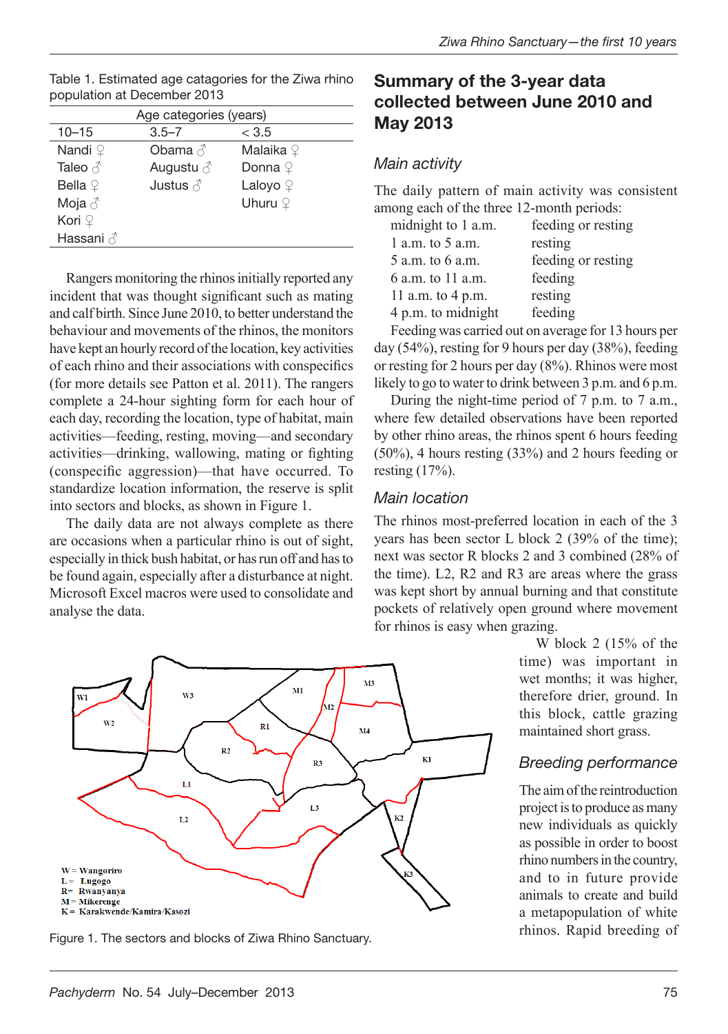| Age categories (years) |                     |                      |  |  |  |
|------------------------|---------------------|----------------------|--|--|--|
| $10 - 15$              | $3.5 - 7$           | < 3.5                |  |  |  |
| Nandi $\Omega$         | Obama $\beta$       | Malaika <sup>Q</sup> |  |  |  |
| Taleo $\triangle$      | Augustu $\triangle$ | Donna <sup>Q</sup>   |  |  |  |
| Bella $9$              | Justus $\triangle$  | Laloyo $\mathcal Q$  |  |  |  |
| Moja $\triangle$       |                     | Uhuru $\mathcal Q$   |  |  |  |
| Kori $\varphi$         |                     |                      |  |  |  |
| Hassani √              |                     |                      |  |  |  |
|                        |                     |                      |  |  |  |

| Table 1. Estimated age catagories for the Ziwa rhino |  |
|------------------------------------------------------|--|
| population at December 2013                          |  |

Rangers monitoring the rhinos initially reported any incident that was thought significant such as mating and calf birth. Since June 2010, to better understand the behaviour and movements of the rhinos, the monitors have kept an hourly record of the location, key activities of each rhino and their associations with conspecifics (for more details see Patton et al. 2011). The rangers complete a 24-hour sighting form for each hour of each day, recording the location, type of habitat, main activities—feeding, resting, moving—and secondary activities—drinking, wallowing, mating or fighting (conspecific aggression)—that have occurred. To standardize location information, the reserve is split into sectors and blocks, as shown in Figure 1.

The daily data are not always complete as there are occasions when a particular rhino is out of sight, especially in thick bush habitat, or has run off and has to be found again, especially after a disturbance at night. Microsoft Excel macros were used to consolidate and analyse the data.



#### *Main activity*

The daily pattern of main activity was consistent among each of the three 12-month periods:

| feeding or resting |
|--------------------|
| resting            |
| feeding or resting |
| feeding            |
| resting            |
| feeding            |
|                    |

Feeding was carried out on average for 13 hours per day (54%), resting for 9 hours per day (38%), feeding or resting for 2 hours per day (8%). Rhinos were most likely to go to water to drink between 3 p.m. and 6 p.m.

During the night-time period of 7 p.m. to 7 a.m., where few detailed observations have been reported by other rhino areas, the rhinos spent 6 hours feeding (50%), 4 hours resting (33%) and 2 hours feeding or resting (17%).

#### *Main location*

The rhinos most-preferred location in each of the 3 years has been sector L block 2 (39% of the time); next was sector R blocks 2 and 3 combined (28% of the time). L2, R2 and R3 are areas where the grass was kept short by annual burning and that constitute pockets of relatively open ground where movement for rhinos is easy when grazing.

> W block 2 (15% of the time) was important in wet months; it was higher, therefore drier, ground. In this block, cattle grazing maintained short grass.

### *Breeding performance*

The aim of the reintroduction project is to produce as many new individuals as quickly as possible in order to boost rhino numbers in the country, and to in future provide animals to create and build a metapopulation of white



Figure 1. The sectors and blocks of Ziwa Rhino Sanctuary. Thinos. Rapid breeding of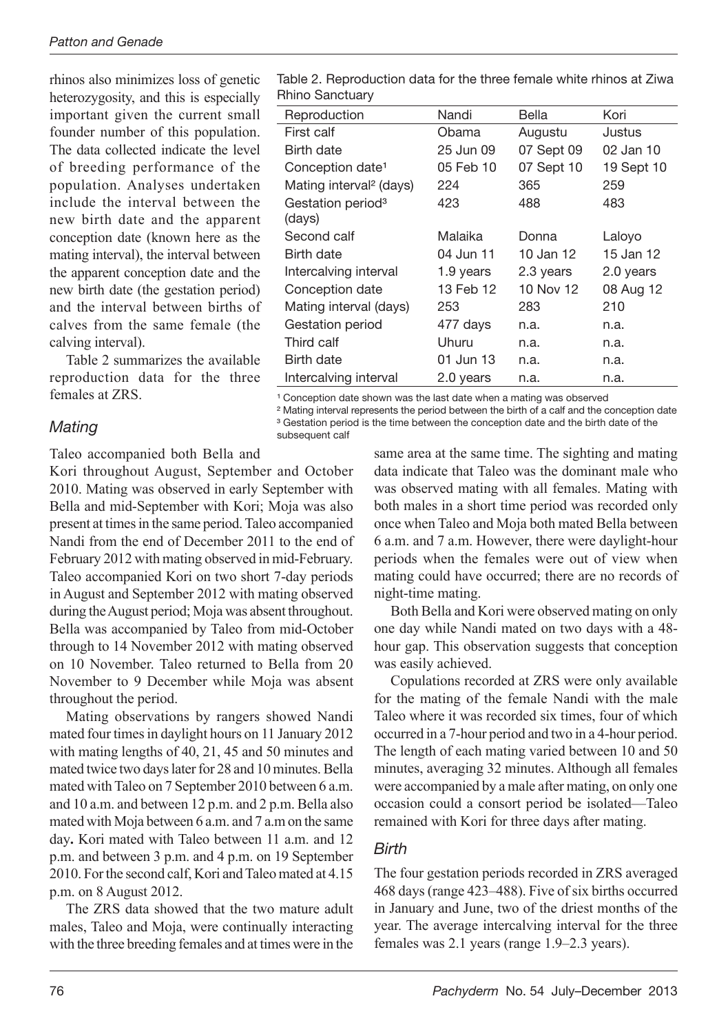rhinos also minimizes loss of genetic heterozygosity, and this is especially important given the current small founder number of this population. The data collected indicate the level of breeding performance of the population. Analyses undertaken include the interval between the new birth date and the apparent conception date (known here as the mating interval), the interval between the apparent conception date and the new birth date (the gestation period) and the interval between births of calves from the same female (the calving interval).

Table 2 summarizes the available reproduction data for the three females at ZRS.

#### *Mating*

Taleo accompanied both Bella and

Kori throughout August, September and October 2010. Mating was observed in early September with Bella and mid-September with Kori; Moja was also present at times in the same period. Taleo accompanied Nandi from the end of December 2011 to the end of February 2012 with mating observed in mid-February. Taleo accompanied Kori on two short 7-day periods in August and September 2012 with mating observed during the August period; Moja was absent throughout. Bella was accompanied by Taleo from mid-October through to 14 November 2012 with mating observed on 10 November. Taleo returned to Bella from 20 November to 9 December while Moja was absent throughout the period.

Mating observations by rangers showed Nandi mated four times in daylight hours on 11 January 2012 with mating lengths of 40, 21, 45 and 50 minutes and mated twice two days later for 28 and 10 minutes. Bella mated with Taleo on 7 September 2010 between 6 a.m. and 10 a.m. and between 12 p.m. and 2 p.m. Bella also mated with Moja between 6 a.m. and 7 a.m on the same day**.** Kori mated with Taleo between 11 a.m. and 12 p.m. and between 3 p.m. and 4 p.m. on 19 September 2010. For the second calf, Kori and Taleo mated at 4.15 p.m. on 8 August 2012.

The ZRS data showed that the two mature adult males, Taleo and Moja, were continually interacting with the three breeding females and at times were in the

Table 2. Reproduction data for the three female white rhinos at Ziwa Rhino Sanctuary

| Reproduction                        | Nandi     | Bella      | Kori       |
|-------------------------------------|-----------|------------|------------|
| First calf                          | Obama     | Augustu    | Justus     |
| Birth date                          | 25 Jun 09 | 07 Sept 09 | 02 Jan 10  |
| Conception date <sup>1</sup>        | 05 Feb 10 | 07 Sept 10 | 19 Sept 10 |
| Mating interval <sup>2</sup> (days) | 224       | 365        | 259        |
| Gestation period <sup>3</sup>       | 423       | 488        | 483        |
| (days)                              |           |            |            |
| Second calf                         | Malaika   | Donna      | Laloyo     |
| Birth date                          | 04 Jun 11 | 10 Jan 12  | 15 Jan 12  |
| Intercalving interval               | 1.9 years | 2.3 years  | 2.0 years  |
| Conception date                     | 13 Feb 12 | 10 Nov 12  | 08 Aug 12  |
| Mating interval (days)              | 253       | 283        | 210        |
| Gestation period                    | 477 days  | n.a.       | n.a.       |
| Third calf                          | Uhuru     | n.a.       | n.a.       |
| Birth date                          | 01 Jun 13 | n.a.       | n.a.       |
| Intercalving interval               | 2.0 years | n.a.       | n.a.       |

<sup>1</sup> Conception date shown was the last date when a mating was observed

² Mating interval represents the period between the birth of a calf and the conception date <sup>3</sup> Gestation period is the time between the conception date and the birth date of the

subsequent calf

same area at the same time. The sighting and mating data indicate that Taleo was the dominant male who was observed mating with all females. Mating with both males in a short time period was recorded only once when Taleo and Moja both mated Bella between 6 a.m. and 7 a.m. However, there were daylight-hour periods when the females were out of view when mating could have occurred; there are no records of night-time mating.

Both Bella and Kori were observed mating on only one day while Nandi mated on two days with a 48 hour gap. This observation suggests that conception was easily achieved.

Copulations recorded at ZRS were only available for the mating of the female Nandi with the male Taleo where it was recorded six times, four of which occurred in a 7-hour period and two in a 4-hour period. The length of each mating varied between 10 and 50 minutes, averaging 32 minutes. Although all females were accompanied by a male after mating, on only one occasion could a consort period be isolated—Taleo remained with Kori for three days after mating.

### *Birth*

The four gestation periods recorded in ZRS averaged 468 days (range 423–488). Five of six births occurred in January and June, two of the driest months of the year. The average intercalving interval for the three females was 2.1 years (range 1.9–2.3 years).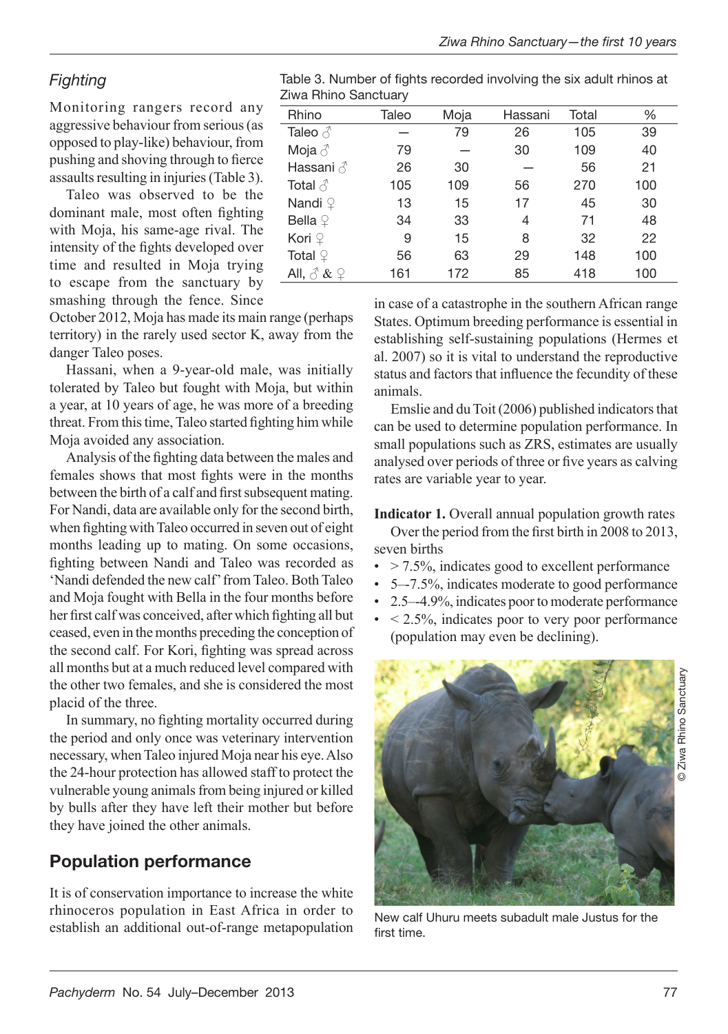# *Fighting*

Monitoring rangers record any aggressive behaviour from serious (as opposed to play-like) behaviour, from pushing and shoving through to fierce assaults resulting in injuries (Table 3).

Taleo was observed to be the dominant male, most often fighting with Moja, his same-age rival. The intensity of the fights developed over time and resulted in Moja trying to escape from the sanctuary by smashing through the fence. Since

October 2012, Moja has made its main range (perhaps territory) in the rarely used sector K, away from the danger Taleo poses.

Hassani, when a 9-year-old male, was initially tolerated by Taleo but fought with Moja, but within a year, at 10 years of age, he was more of a breeding threat. From this time, Taleo started fighting him while Moja avoided any association.

Analysis of the fighting data between the males and females shows that most fights were in the months between the birth of a calf and first subsequent mating. For Nandi, data are available only for the second birth, when fighting with Taleo occurred in seven out of eight months leading up to mating. On some occasions, fighting between Nandi and Taleo was recorded as 'Nandi defended the new calf' from Taleo. Both Taleo and Moja fought with Bella in the four months before her first calf was conceived, after which fighting all but ceased, even in the months preceding the conception of the second calf. For Kori, fighting was spread across all months but at a much reduced level compared with the other two females, and she is considered the most placid of the three.

In summary, no fighting mortality occurred during the period and only once was veterinary intervention necessary, when Taleo injured Moja near his eye. Also the 24-hour protection has allowed staff to protect the vulnerable young animals from being injured or killed by bulls after they have left their mother but before they have joined the other animals.

# Population performance

It is of conservation importance to increase the white rhinoceros population in East Africa in order to establish an additional out-of-range metapopulation

Table 3. Number of fights recorded involving the six adult rhinos at Ziwa Rhino Sanctuary

| Rhino                                                                                                          | Taleo | Moja | Hassani | Total | %   |  |
|----------------------------------------------------------------------------------------------------------------|-------|------|---------|-------|-----|--|
| Taleo $\triangle$                                                                                              |       | 79   | 26      | 105   | 39  |  |
| Moja $\delta$                                                                                                  | 79    |      | 30      | 109   | 40  |  |
|                                                                                                                | 26    | 30   |         | 56    | 21  |  |
| Total $\beta$                                                                                                  | 105   | 109  | 56      | 270   | 100 |  |
| Nandi $9$                                                                                                      | 13    | 15   | 17      | 45    | 30  |  |
| Bella $\mathcal Q$                                                                                             | 34    | 33   | 4       | 71    | 48  |  |
| Kori ♀                                                                                                         | 9     | 15   | 8       | 32    | 22  |  |
| Total $\mathcal Q$                                                                                             | 56    | 63   | 29      | 148   | 100 |  |
| All, $\stackrel{\scriptstyle \wedge}{\scriptstyle \wedge}$ & $\stackrel{\scriptstyle \cap}{\scriptstyle \sim}$ | 161   | 172  | 85      | 418   | 100 |  |
|                                                                                                                |       |      |         |       |     |  |

in case of a catastrophe in the southern African range States. Optimum breeding performance is essential in establishing self-sustaining populations (Hermes et al. 2007) so it is vital to understand the reproductive status and factors that influence the fecundity of these animals.

Emslie and du Toit (2006) published indicators that can be used to determine population performance. In small populations such as ZRS, estimates are usually analysed over periods of three or five years as calving rates are variable year to year.

**Indicator 1.** Overall annual population growth rates

Over the period from the first birth in 2008 to 2013, seven births

- $\cdot$  > 7.5%, indicates good to excellent performance
- 5–-7.5%, indicates moderate to good performance
- 2.5–-4.9%, indicates poor to moderate performance
- $\bullet$  < 2.5%, indicates poor to very poor performance (population may even be declining).



© Ziwa Rhino Sanctuary

Ziwa Rhino Sanctuary